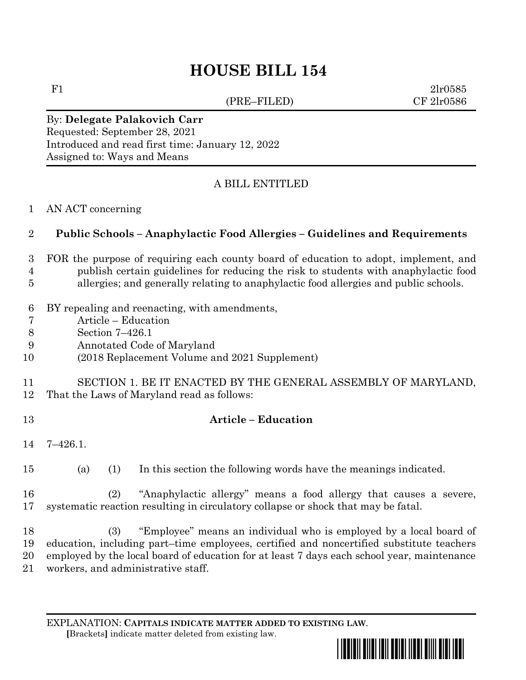# **HOUSE BILL 154**

(PRE–FILED) CF 2lr0586

F1  $2lr0585$ 

#### By: **Delegate Palakovich Carr** Requested: September 28, 2021 Introduced and read first time: January 12, 2022 Assigned to: Ways and Means

## A BILL ENTITLED

AN ACT concerning

## **Public Schools – Anaphylactic Food Allergies – Guidelines and Requirements**

#### FOR the purpose of requiring each county board of education to adopt, implement, and publish certain guidelines for reducing the risk to students with anaphylactic food allergies; and generally relating to anaphylactic food allergies and public schools.

- BY repealing and reenacting, with amendments,
- Article Education
- Section 7–426.1
- Annotated Code of Maryland
- (2018 Replacement Volume and 2021 Supplement)

### SECTION 1. BE IT ENACTED BY THE GENERAL ASSEMBLY OF MARYLAND, That the Laws of Maryland read as follows:

## **Article – Education**

- 7–426.1.
- (a) (1) In this section the following words have the meanings indicated.
- (2) "Anaphylactic allergy" means a food allergy that causes a severe, systematic reaction resulting in circulatory collapse or shock that may be fatal.

 (3) "Employee" means an individual who is employed by a local board of education, including part–time employees, certified and noncertified substitute teachers employed by the local board of education for at least 7 days each school year, maintenance workers, and administrative staff.

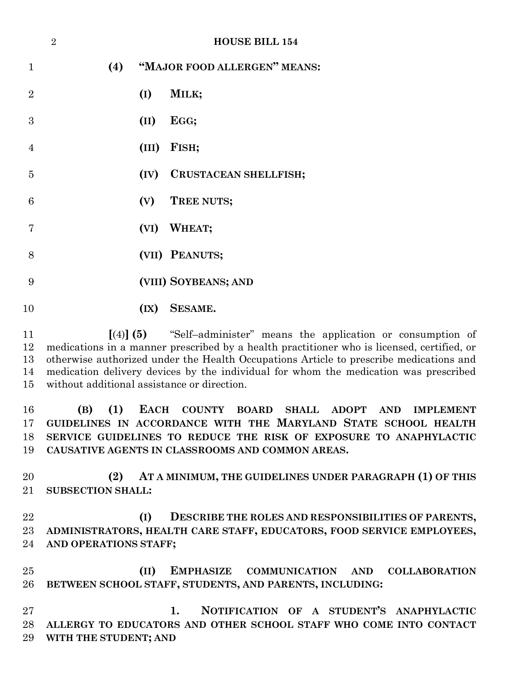|                | $\overline{2}$ |     |      | <b>HOUSE BILL 154</b>        |
|----------------|----------------|-----|------|------------------------------|
| $\mathbf{1}$   |                | (4) |      | "MAJOR FOOD ALLERGEN" MEANS: |
| $\overline{2}$ |                |     | (I)  | MILK;                        |
| 3              |                |     | (II) | EGG;                         |
| $\overline{4}$ |                |     |      | (III) FISH;                  |
| 5              |                |     |      | (IV) CRUSTACEAN SHELLFISH;   |
| 6              |                |     |      | (V) TREE NUTS;               |
| 7              |                |     |      | (VI) WHEAT;                  |
| 8              |                |     |      | (VII) PEANUTS;               |
| 9              |                |     |      | (VIII) SOYBEANS; AND         |
| 10             |                |     | (IX) | <b>SESAME.</b>               |

 **[**(4)**] (5)** "Self–administer" means the application or consumption of medications in a manner prescribed by a health practitioner who is licensed, certified, or otherwise authorized under the Health Occupations Article to prescribe medications and medication delivery devices by the individual for whom the medication was prescribed without additional assistance or direction.

 **(B) (1) EACH COUNTY BOARD SHALL ADOPT AND IMPLEMENT GUIDELINES IN ACCORDANCE WITH THE MARYLAND STATE SCHOOL HEALTH SERVICE GUIDELINES TO REDUCE THE RISK OF EXPOSURE TO ANAPHYLACTIC CAUSATIVE AGENTS IN CLASSROOMS AND COMMON AREAS.**

 **(2) AT A MINIMUM, THE GUIDELINES UNDER PARAGRAPH (1) OF THIS SUBSECTION SHALL:**

 **(I) DESCRIBE THE ROLES AND RESPONSIBILITIES OF PARENTS, ADMINISTRATORS, HEALTH CARE STAFF, EDUCATORS, FOOD SERVICE EMPLOYEES, AND OPERATIONS STAFF;**

 **(II) EMPHASIZE COMMUNICATION AND COLLABORATION BETWEEN SCHOOL STAFF, STUDENTS, AND PARENTS, INCLUDING:**

 **1. NOTIFICATION OF A STUDENT'S ANAPHYLACTIC ALLERGY TO EDUCATORS AND OTHER SCHOOL STAFF WHO COME INTO CONTACT WITH THE STUDENT; AND**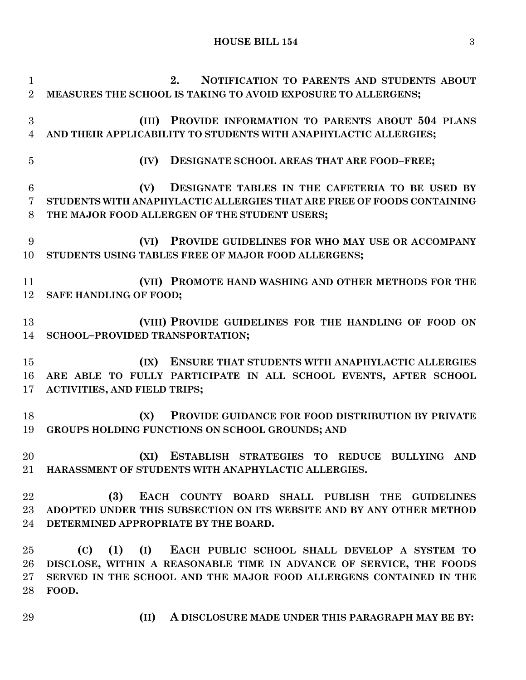#### **HOUSE BILL 154** 3

 **2. NOTIFICATION TO PARENTS AND STUDENTS ABOUT MEASURES THE SCHOOL IS TAKING TO AVOID EXPOSURE TO ALLERGENS; (III) PROVIDE INFORMATION TO PARENTS ABOUT 504 PLANS AND THEIR APPLICABILITY TO STUDENTS WITH ANAPHYLACTIC ALLERGIES; (IV) DESIGNATE SCHOOL AREAS THAT ARE FOOD–FREE; (V) DESIGNATE TABLES IN THE CAFETERIA TO BE USED BY STUDENTS WITH ANAPHYLACTIC ALLERGIES THAT ARE FREE OF FOODS CONTAINING THE MAJOR FOOD ALLERGEN OF THE STUDENT USERS; (VI) PROVIDE GUIDELINES FOR WHO MAY USE OR ACCOMPANY STUDENTS USING TABLES FREE OF MAJOR FOOD ALLERGENS; (VII) PROMOTE HAND WASHING AND OTHER METHODS FOR THE SAFE HANDLING OF FOOD; (VIII) PROVIDE GUIDELINES FOR THE HANDLING OF FOOD ON SCHOOL–PROVIDED TRANSPORTATION; (IX) ENSURE THAT STUDENTS WITH ANAPHYLACTIC ALLERGIES ARE ABLE TO FULLY PARTICIPATE IN ALL SCHOOL EVENTS, AFTER SCHOOL ACTIVITIES, AND FIELD TRIPS; (X) PROVIDE GUIDANCE FOR FOOD DISTRIBUTION BY PRIVATE GROUPS HOLDING FUNCTIONS ON SCHOOL GROUNDS; AND (XI) ESTABLISH STRATEGIES TO REDUCE BULLYING AND HARASSMENT OF STUDENTS WITH ANAPHYLACTIC ALLERGIES. (3) EACH COUNTY BOARD SHALL PUBLISH THE GUIDELINES ADOPTED UNDER THIS SUBSECTION ON ITS WEBSITE AND BY ANY OTHER METHOD DETERMINED APPROPRIATE BY THE BOARD. (C) (1) (I) EACH PUBLIC SCHOOL SHALL DEVELOP A SYSTEM TO DISCLOSE, WITHIN A REASONABLE TIME IN ADVANCE OF SERVICE, THE FOODS SERVED IN THE SCHOOL AND THE MAJOR FOOD ALLERGENS CONTAINED IN THE FOOD.**

**(II) A DISCLOSURE MADE UNDER THIS PARAGRAPH MAY BE BY:**